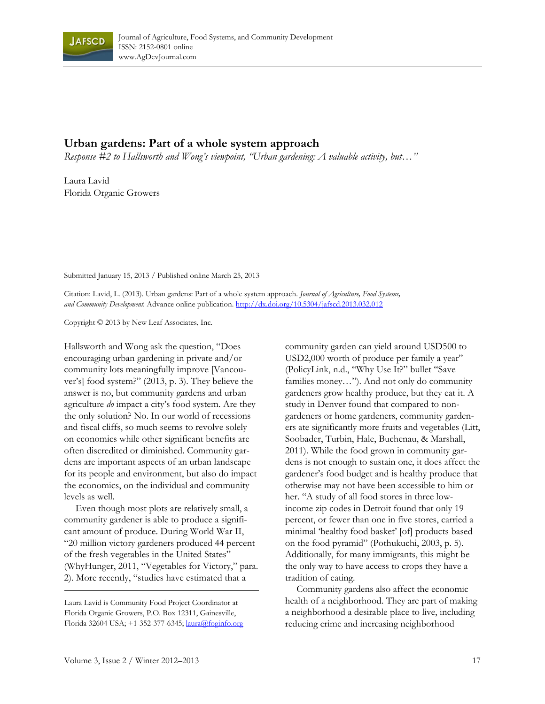

## **Urban gardens: Part of a whole system approach**

*Response #2 to Hallsworth and Wong's viewpoint, "Urban gardening: A valuable activity, but…"* 

Laura Lavid Florida Organic Growers

Submitted January 15, 2013 / Published online March 25, 2013

Citation: Lavid, L. (2013). Urban gardens: Part of a whole system approach. *Journal of Agriculture, Food Systems, and Community Development.* Advance online publication. http://dx.doi.org/10.5304/jafscd.2013.032.012

Copyright © 2013 by New Leaf Associates, Inc.

Hallsworth and Wong ask the question, "Does encouraging urban gardening in private and/or community lots meaningfully improve [Vancouver's] food system?" (2013, p. 3). They believe the answer is no, but community gardens and urban agriculture *do* impact a city's food system. Are they the only solution? No. In our world of recessions and fiscal cliffs, so much seems to revolve solely on economics while other significant benefits are often discredited or diminished. Community gardens are important aspects of an urban landscape for its people and environment, but also do impact the economics, on the individual and community levels as well.

 Even though most plots are relatively small, a community gardener is able to produce a significant amount of produce. During World War II, "20 million victory gardeners produced 44 percent of the fresh vegetables in the United States" (WhyHunger, 2011, "Vegetables for Victory," para. 2). More recently, "studies have estimated that a

community garden can yield around USD500 to USD2,000 worth of produce per family a year" (PolicyLink, n.d., "Why Use It?" bullet "Save families money…"). And not only do community gardeners grow healthy produce, but they eat it. A study in Denver found that compared to nongardeners or home gardeners, community gardeners ate significantly more fruits and vegetables (Litt, Soobader, Turbin, Hale, Buchenau, & Marshall, 2011). While the food grown in community gardens is not enough to sustain one, it does affect the gardener's food budget and is healthy produce that otherwise may not have been accessible to him or her. "A study of all food stores in three lowincome zip codes in Detroit found that only 19 percent, or fewer than one in five stores, carried a minimal 'healthy food basket' [of] products based on the food pyramid" (Pothukuchi, 2003, p. 5). Additionally, for many immigrants, this might be the only way to have access to crops they have a tradition of eating.

 Community gardens also affect the economic health of a neighborhood. They are part of making a neighborhood a desirable place to live, including reducing crime and increasing neighborhood

Laura Lavid is Community Food Project Coordinator at Florida Organic Growers, P.O. Box 12311, Gainesville, Florida 32604 USA; +1-352-377-6345; laura@foginfo.org